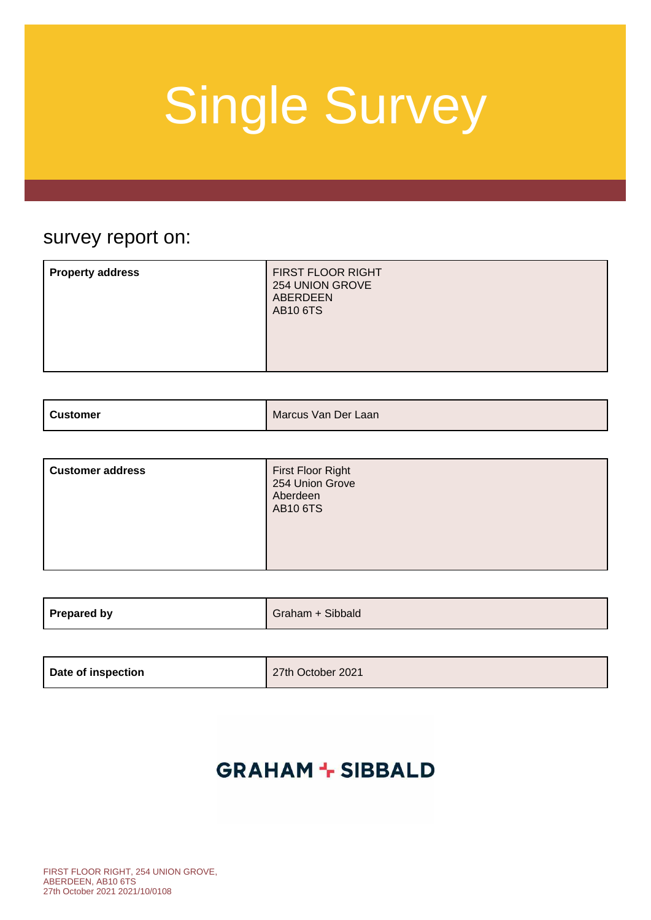### survey report on:

| <b>Property address</b> | FIRST FLOOR RIGHT<br>254 UNION GROVE<br><b>ABERDEEN</b><br><b>AB10 6TS</b> |
|-------------------------|----------------------------------------------------------------------------|
|-------------------------|----------------------------------------------------------------------------|

| ⊦ Customer | Marcus Van Der Laan |
|------------|---------------------|
|            |                     |

| <b>Customer address</b> | First Floor Right<br>254 Union Grove<br>Aberdeen<br><b>AB10 6TS</b> |
|-------------------------|---------------------------------------------------------------------|
|-------------------------|---------------------------------------------------------------------|

| Prepared by | Sibbald<br>nan |
|-------------|----------------|
|             |                |

| Date of inspection | 27th October 2021 |
|--------------------|-------------------|
|--------------------|-------------------|

### **GRAHAM + SIBBALD**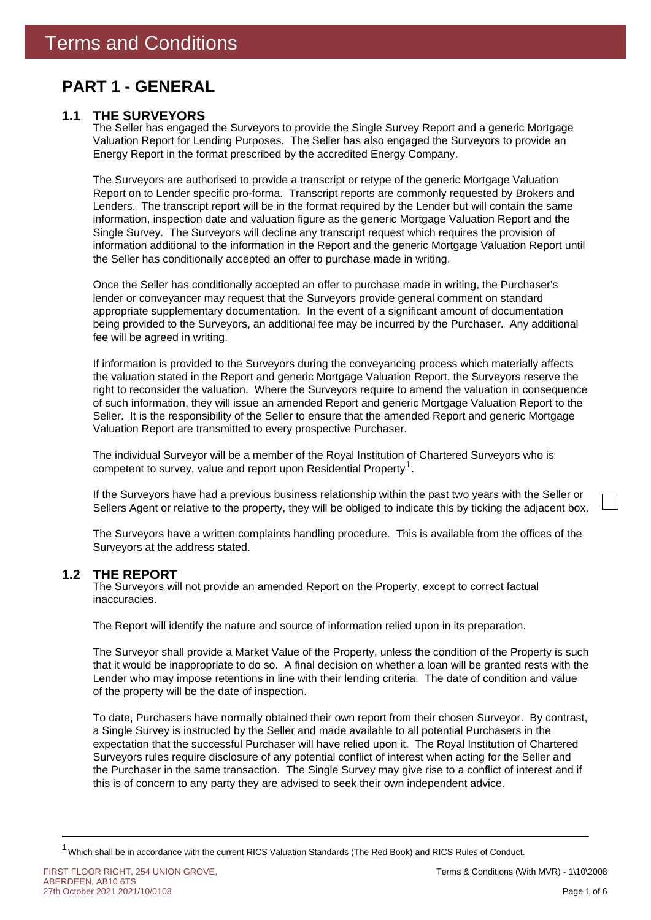### **PART 1 - GENERAL**

### **1.1 THE SURVEYORS**

The Seller has engaged the Surveyors to provide the Single Survey Report and a generic Mortgage Valuation Report for Lending Purposes. The Seller has also engaged the Surveyors to provide an Energy Report in the format prescribed by the accredited Energy Company.

The Surveyors are authorised to provide a transcript or retype of the generic Mortgage Valuation Report on to Lender specific pro-forma. Transcript reports are commonly requested by Brokers and Lenders. The transcript report will be in the format required by the Lender but will contain the same information, inspection date and valuation figure as the generic Mortgage Valuation Report and the Single Survey. The Surveyors will decline any transcript request which requires the provision of information additional to the information in the Report and the generic Mortgage Valuation Report until the Seller has conditionally accepted an offer to purchase made in writing.

Once the Seller has conditionally accepted an offer to purchase made in writing, the Purchaser's lender or conveyancer may request that the Surveyors provide general comment on standard appropriate supplementary documentation. In the event of a significant amount of documentation being provided to the Surveyors, an additional fee may be incurred by the Purchaser. Any additional fee will be agreed in writing.

If information is provided to the Surveyors during the conveyancing process which materially affects the valuation stated in the Report and generic Mortgage Valuation Report, the Surveyors reserve the right to reconsider the valuation. Where the Surveyors require to amend the valuation in consequence of such information, they will issue an amended Report and generic Mortgage Valuation Report to the Seller. It is the responsibility of the Seller to ensure that the amended Report and generic Mortgage Valuation Report are transmitted to every prospective Purchaser.

competent to survey, value and report upon Residential Property<sup>1</sup>. The individual Surveyor will be a member of the Royal Institution of Chartered Surveyors who is

If the Surveyors have had a previous business relationship within the past two years with the Seller or Sellers Agent or relative to the property, they will be obliged to indicate this by ticking the adjacent box.

The Surveyors have a written complaints handling procedure. This is available from the offices of the Surveyors at the address stated.

#### **THE REPORT 1.2**

The Surveyors will not provide an amended Report on the Property, except to correct factual inaccuracies.

The Report will identify the nature and source of information relied upon in its preparation.

The Surveyor shall provide a Market Value of the Property, unless the condition of the Property is such that it would be inappropriate to do so. A final decision on whether a loan will be granted rests with the Lender who may impose retentions in line with their lending criteria. The date of condition and value of the property will be the date of inspection.

To date, Purchasers have normally obtained their own report from their chosen Surveyor. By contrast, a Single Survey is instructed by the Seller and made available to all potential Purchasers in the expectation that the successful Purchaser will have relied upon it. The Royal Institution of Chartered Surveyors rules require disclosure of any potential conflict of interest when acting for the Seller and the Purchaser in the same transaction. The Single Survey may give rise to a conflict of interest and if this is of concern to any party they are advised to seek their own independent advice.

<sup>&</sup>lt;sup>1</sup> Which shall be in accordance with the current RICS Valuation Standards (The Red Book) and RICS Rules of Conduct.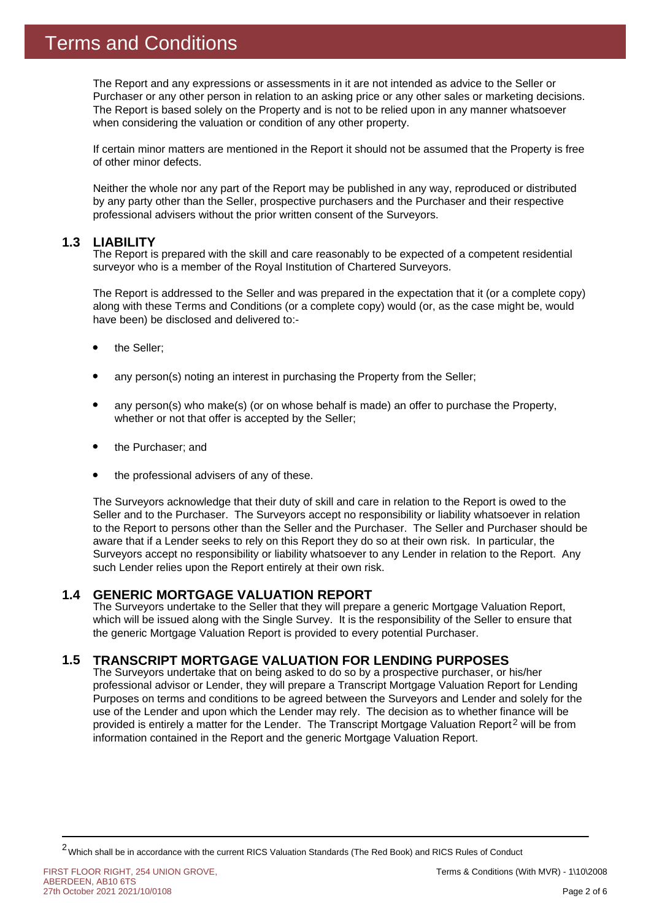The Report and any expressions or assessments in it are not intended as advice to the Seller or Purchaser or any other person in relation to an asking price or any other sales or marketing decisions. The Report is based solely on the Property and is not to be relied upon in any manner whatsoever when considering the valuation or condition of any other property.

If certain minor matters are mentioned in the Report it should not be assumed that the Property is free of other minor defects.

Neither the whole nor any part of the Report may be published in any way, reproduced or distributed by any party other than the Seller, prospective purchasers and the Purchaser and their respective professional advisers without the prior written consent of the Surveyors.

#### **1.3 LIABILITY**

The Report is prepared with the skill and care reasonably to be expected of a competent residential surveyor who is a member of the Royal Institution of Chartered Surveyors.

The Report is addressed to the Seller and was prepared in the expectation that it (or a complete copy) along with these Terms and Conditions (or a complete copy) would (or, as the case might be, would have been) be disclosed and delivered to:-

- the Seller;
- any person(s) noting an interest in purchasing the Property from the Seller;
- any person(s) who make(s) (or on whose behalf is made) an offer to purchase the Property, whether or not that offer is accepted by the Seller;
- the Purchaser; and
- the professional advisers of any of these.

The Surveyors acknowledge that their duty of skill and care in relation to the Report is owed to the Seller and to the Purchaser. The Surveyors accept no responsibility or liability whatsoever in relation to the Report to persons other than the Seller and the Purchaser. The Seller and Purchaser should be aware that if a Lender seeks to rely on this Report they do so at their own risk. In particular, the Surveyors accept no responsibility or liability whatsoever to any Lender in relation to the Report. Any such Lender relies upon the Report entirely at their own risk.

#### **GENERIC MORTGAGE VALUATION REPORT 1.4**

The Surveyors undertake to the Seller that they will prepare a generic Mortgage Valuation Report, which will be issued along with the Single Survey. It is the responsibility of the Seller to ensure that the generic Mortgage Valuation Report is provided to every potential Purchaser.

#### **TRANSCRIPT MORTGAGE VALUATION FOR LENDING PURPOSES 1.5**

provided is entirely a matter for the Lender. The Transcript Mortgage Valuation Report<sup>2</sup> will be from The Surveyors undertake that on being asked to do so by a prospective purchaser, or his/her professional advisor or Lender, they will prepare a Transcript Mortgage Valuation Report for Lending Purposes on terms and conditions to be agreed between the Surveyors and Lender and solely for the use of the Lender and upon which the Lender may rely. The decision as to whether finance will be information contained in the Report and the generic Mortgage Valuation Report.

FIRST FLOOR RIGHT, 254 UNION GROVE, ABERDEEN, AB10 6TS 27th October 2021 2021/10/0108

<sup>2</sup>Which shall be in accordance with the current RICS Valuation Standards (The Red Book) and RICS Rules of Conduct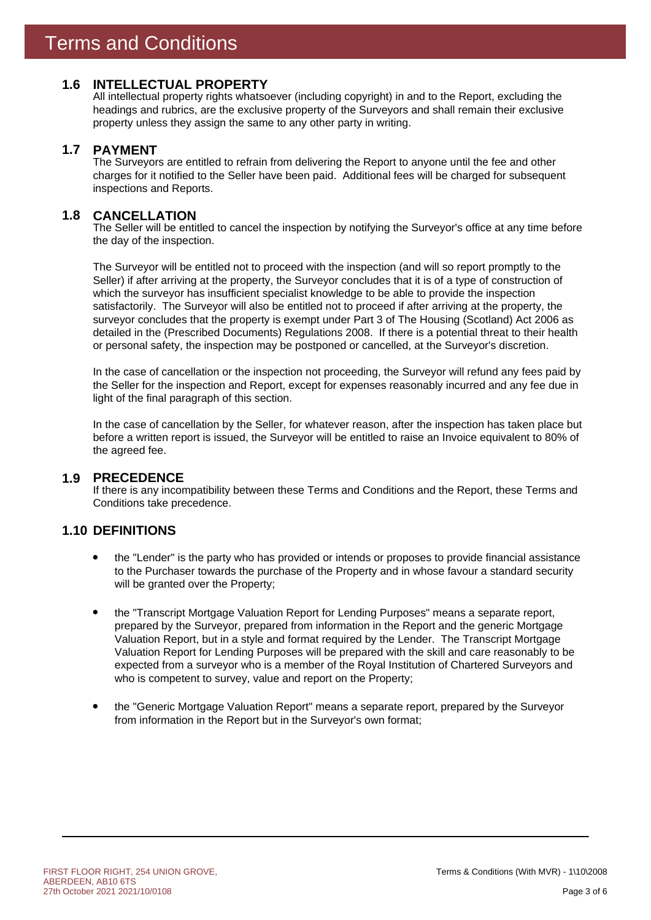### **1.6 INTELLECTUAL PROPERTY**

All intellectual property rights whatsoever (including copyright) in and to the Report, excluding the headings and rubrics, are the exclusive property of the Surveyors and shall remain their exclusive property unless they assign the same to any other party in writing.

#### **PAYMENT 1.7**

The Surveyors are entitled to refrain from delivering the Report to anyone until the fee and other charges for it notified to the Seller have been paid. Additional fees will be charged for subsequent inspections and Reports.

#### **CANCELLATION 1.8**

The Seller will be entitled to cancel the inspection by notifying the Surveyor's office at any time before the day of the inspection.

The Surveyor will be entitled not to proceed with the inspection (and will so report promptly to the Seller) if after arriving at the property, the Surveyor concludes that it is of a type of construction of which the surveyor has insufficient specialist knowledge to be able to provide the inspection satisfactorily. The Surveyor will also be entitled not to proceed if after arriving at the property, the surveyor concludes that the property is exempt under Part 3 of The Housing (Scotland) Act 2006 as detailed in the (Prescribed Documents) Regulations 2008. If there is a potential threat to their health or personal safety, the inspection may be postponed or cancelled, at the Surveyor's discretion.

In the case of cancellation or the inspection not proceeding, the Surveyor will refund any fees paid by the Seller for the inspection and Report, except for expenses reasonably incurred and any fee due in light of the final paragraph of this section.

In the case of cancellation by the Seller, for whatever reason, after the inspection has taken place but before a written report is issued, the Surveyor will be entitled to raise an Invoice equivalent to 80% of the agreed fee.

### **PRECEDENCE 1.9**

If there is any incompatibility between these Terms and Conditions and the Report, these Terms and Conditions take precedence.

### **1.10 DEFINITIONS**

- the "Lender" is the party who has provided or intends or proposes to provide financial assistance to the Purchaser towards the purchase of the Property and in whose favour a standard security will be granted over the Property;
- the "Transcript Mortgage Valuation Report for Lending Purposes" means a separate report, prepared by the Surveyor, prepared from information in the Report and the generic Mortgage Valuation Report, but in a style and format required by the Lender. The Transcript Mortgage Valuation Report for Lending Purposes will be prepared with the skill and care reasonably to be expected from a surveyor who is a member of the Royal Institution of Chartered Surveyors and who is competent to survey, value and report on the Property;
- the "Generic Mortgage Valuation Report" means a separate report, prepared by the Surveyor from information in the Report but in the Surveyor's own format;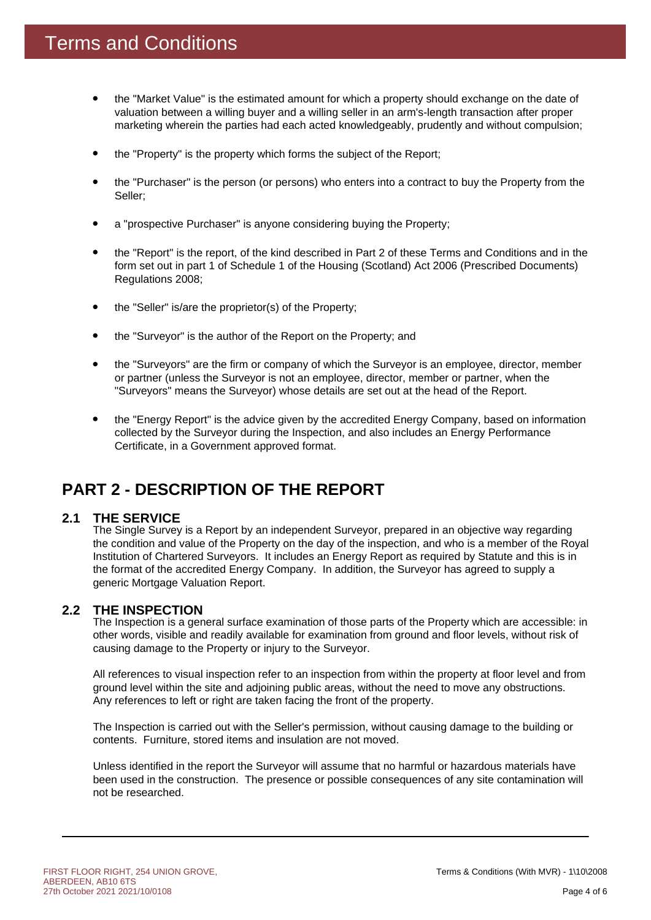- the "Market Value" is the estimated amount for which a property should exchange on the date of valuation between a willing buyer and a willing seller in an arm's-length transaction after proper marketing wherein the parties had each acted knowledgeably, prudently and without compulsion;
- the "Property" is the property which forms the subject of the Report;
- the "Purchaser" is the person (or persons) who enters into a contract to buy the Property from the Seller;
- a "prospective Purchaser" is anyone considering buying the Property;
- the "Report" is the report, of the kind described in Part 2 of these Terms and Conditions and in the form set out in part 1 of Schedule 1 of the Housing (Scotland) Act 2006 (Prescribed Documents) Regulations 2008;
- the "Seller" is/are the proprietor(s) of the Property;
- the "Surveyor" is the author of the Report on the Property; and
- the "Surveyors" are the firm or company of which the Surveyor is an employee, director, member or partner (unless the Surveyor is not an employee, director, member or partner, when the "Surveyors" means the Surveyor) whose details are set out at the head of the Report.
- the "Energy Report" is the advice given by the accredited Energy Company, based on information collected by the Surveyor during the Inspection, and also includes an Energy Performance Certificate, in a Government approved format.

### **PART 2 - DESCRIPTION OF THE REPORT**

#### **THE SERVICE 2.1**

The Single Survey is a Report by an independent Surveyor, prepared in an objective way regarding the condition and value of the Property on the day of the inspection, and who is a member of the Royal Institution of Chartered Surveyors. It includes an Energy Report as required by Statute and this is in the format of the accredited Energy Company. In addition, the Surveyor has agreed to supply a generic Mortgage Valuation Report.

### **THE INSPECTION 2.2**

The Inspection is a general surface examination of those parts of the Property which are accessible: in other words, visible and readily available for examination from ground and floor levels, without risk of causing damage to the Property or injury to the Surveyor.

All references to visual inspection refer to an inspection from within the property at floor level and from ground level within the site and adjoining public areas, without the need to move any obstructions. Any references to left or right are taken facing the front of the property.

The Inspection is carried out with the Seller's permission, without causing damage to the building or contents. Furniture, stored items and insulation are not moved.

Unless identified in the report the Surveyor will assume that no harmful or hazardous materials have been used in the construction. The presence or possible consequences of any site contamination will not be researched.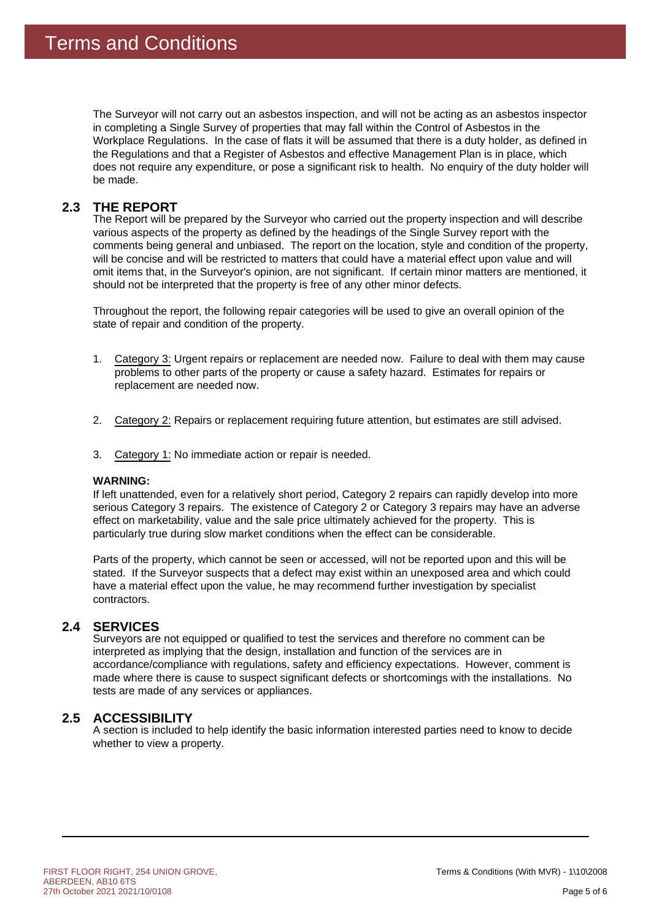The Surveyor will not carry out an asbestos inspection, and will not be acting as an asbestos inspector in completing a Single Survey of properties that may fall within the Control of Asbestos in the Workplace Regulations. In the case of flats it will be assumed that there is a duty holder, as defined in the Regulations and that a Register of Asbestos and effective Management Plan is in place, which does not require any expenditure, or pose a significant risk to health. No enquiry of the duty holder will be made.

#### **THE REPORT 2.3**

The Report will be prepared by the Surveyor who carried out the property inspection and will describe various aspects of the property as defined by the headings of the Single Survey report with the comments being general and unbiased. The report on the location, style and condition of the property, will be concise and will be restricted to matters that could have a material effect upon value and will omit items that, in the Surveyor's opinion, are not significant. If certain minor matters are mentioned, it should not be interpreted that the property is free of any other minor defects.

Throughout the report, the following repair categories will be used to give an overall opinion of the state of repair and condition of the property.

- 1. Category 3: Urgent repairs or replacement are needed now. Failure to deal with them may cause problems to other parts of the property or cause a safety hazard. Estimates for repairs or replacement are needed now.
- 2. Category 2: Repairs or replacement requiring future attention, but estimates are still advised.
- 3. Category 1: No immediate action or repair is needed.

### **WARNING:**

If left unattended, even for a relatively short period, Category 2 repairs can rapidly develop into more serious Category 3 repairs. The existence of Category 2 or Category 3 repairs may have an adverse effect on marketability, value and the sale price ultimately achieved for the property. This is particularly true during slow market conditions when the effect can be considerable.

Parts of the property, which cannot be seen or accessed, will not be reported upon and this will be stated. If the Surveyor suspects that a defect may exist within an unexposed area and which could have a material effect upon the value, he may recommend further investigation by specialist contractors.

### 2.4 SERVICES

Surveyors are not equipped or qualified to test the services and therefore no comment can be interpreted as implying that the design, installation and function of the services are in accordance/compliance with regulations, safety and efficiency expectations. However, comment is made where there is cause to suspect significant defects or shortcomings with the installations. No tests are made of any services or appliances.

### **ACCESSIBILITY 2.5**

A section is included to help identify the basic information interested parties need to know to decide whether to view a property.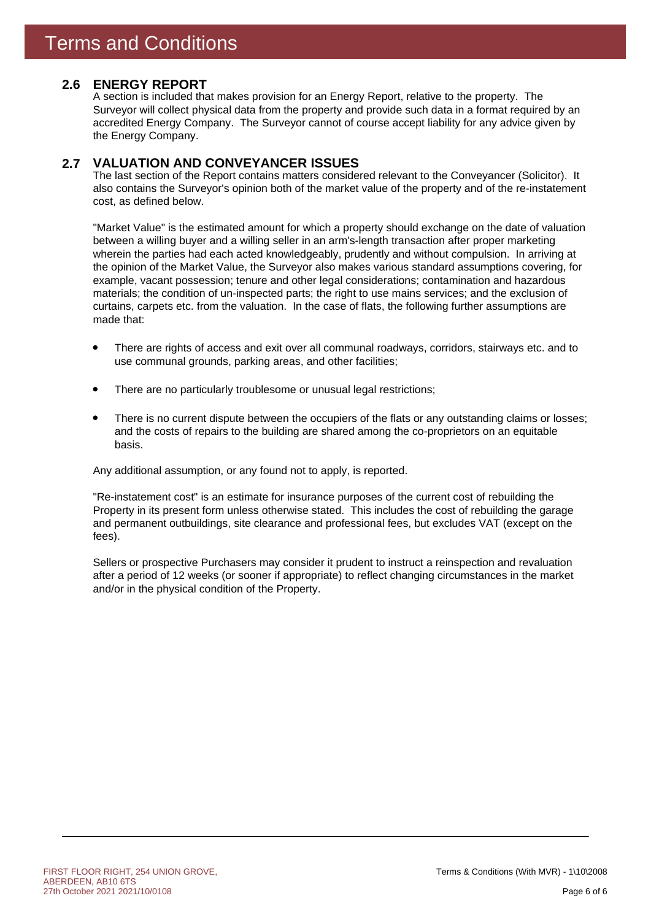### **ENERGY REPORT 2.6**

A section is included that makes provision for an Energy Report, relative to the property. The Surveyor will collect physical data from the property and provide such data in a format required by an accredited Energy Company. The Surveyor cannot of course accept liability for any advice given by the Energy Company.

#### **VALUATION AND CONVEYANCER ISSUES 2.7**

The last section of the Report contains matters considered relevant to the Conveyancer (Solicitor). It also contains the Surveyor's opinion both of the market value of the property and of the re-instatement cost, as defined below.

"Market Value" is the estimated amount for which a property should exchange on the date of valuation between a willing buyer and a willing seller in an arm's-length transaction after proper marketing wherein the parties had each acted knowledgeably, prudently and without compulsion. In arriving at the opinion of the Market Value, the Surveyor also makes various standard assumptions covering, for example, vacant possession; tenure and other legal considerations; contamination and hazardous materials; the condition of un-inspected parts; the right to use mains services; and the exclusion of curtains, carpets etc. from the valuation. In the case of flats, the following further assumptions are made that:

- There are rights of access and exit over all communal roadways, corridors, stairways etc. and to use communal grounds, parking areas, and other facilities;
- There are no particularly troublesome or unusual legal restrictions;
- There is no current dispute between the occupiers of the flats or any outstanding claims or losses; and the costs of repairs to the building are shared among the co-proprietors on an equitable basis.

Any additional assumption, or any found not to apply, is reported.

"Re-instatement cost" is an estimate for insurance purposes of the current cost of rebuilding the Property in its present form unless otherwise stated. This includes the cost of rebuilding the garage and permanent outbuildings, site clearance and professional fees, but excludes VAT (except on the fees).

Sellers or prospective Purchasers may consider it prudent to instruct a reinspection and revaluation after a period of 12 weeks (or sooner if appropriate) to reflect changing circumstances in the market and/or in the physical condition of the Property.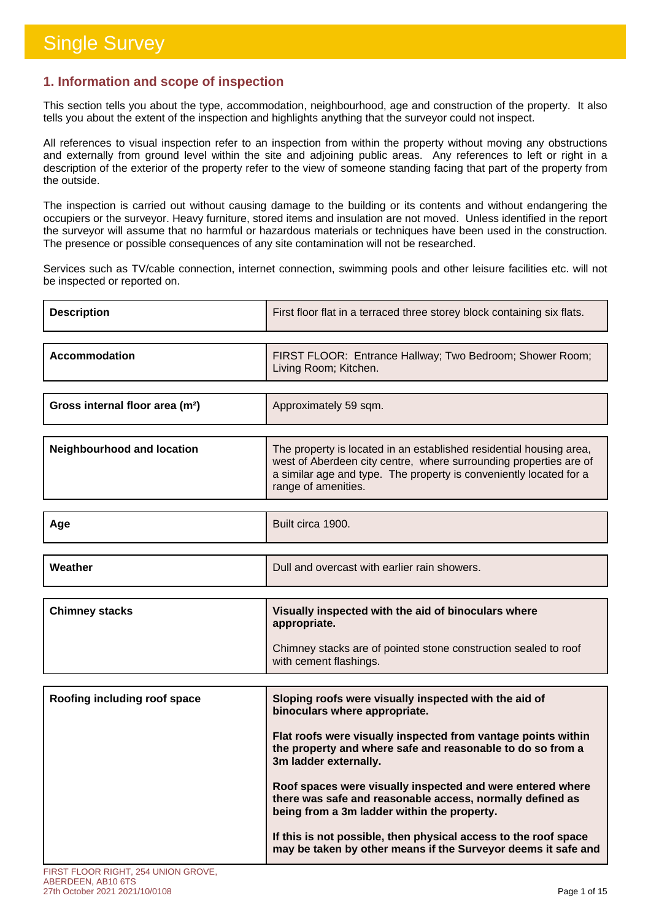г

### **1. Information and scope of inspection**

This section tells you about the type, accommodation, neighbourhood, age and construction of the property. It also tells you about the extent of the inspection and highlights anything that the surveyor could not inspect.

All references to visual inspection refer to an inspection from within the property without moving any obstructions and externally from ground level within the site and adjoining public areas. Any references to left or right in a description of the exterior of the property refer to the view of someone standing facing that part of the property from the outside.

The inspection is carried out without causing damage to the building or its contents and without endangering the occupiers or the surveyor. Heavy furniture, stored items and insulation are not moved. Unless identified in the report the surveyor will assume that no harmful or hazardous materials or techniques have been used in the construction. The presence or possible consequences of any site contamination will not be researched.

Services such as TV/cable connection, internet connection, swimming pools and other leisure facilities etc. will not be inspected or reported on.

| <b>Description</b>                          | First floor flat in a terraced three storey block containing six flats.                                                                                                                                                               |
|---------------------------------------------|---------------------------------------------------------------------------------------------------------------------------------------------------------------------------------------------------------------------------------------|
| Accommodation                               | FIRST FLOOR: Entrance Hallway; Two Bedroom; Shower Room;<br>Living Room; Kitchen.                                                                                                                                                     |
| Gross internal floor area (m <sup>2</sup> ) | Approximately 59 sqm.                                                                                                                                                                                                                 |
| <b>Neighbourhood and location</b>           | The property is located in an established residential housing area,<br>west of Aberdeen city centre, where surrounding properties are of<br>a similar age and type. The property is conveniently located for a<br>range of amenities. |
| Age                                         | Built circa 1900.                                                                                                                                                                                                                     |
| Weather                                     | Dull and overcast with earlier rain showers.                                                                                                                                                                                          |
| <b>Chimney stacks</b>                       | Visually inspected with the aid of binoculars where                                                                                                                                                                                   |
|                                             | appropriate.                                                                                                                                                                                                                          |
|                                             |                                                                                                                                                                                                                                       |
|                                             | Chimney stacks are of pointed stone construction sealed to roof<br>with cement flashings.                                                                                                                                             |
|                                             |                                                                                                                                                                                                                                       |
| Roofing including roof space                | Sloping roofs were visually inspected with the aid of<br>binoculars where appropriate.                                                                                                                                                |
|                                             | Flat roofs were visually inspected from vantage points within<br>the property and where safe and reasonable to do so from a<br>3m ladder externally.                                                                                  |
|                                             | Roof spaces were visually inspected and were entered where<br>there was safe and reasonable access, normally defined as<br>being from a 3m ladder within the property.                                                                |
|                                             | If this is not possible, then physical access to the roof space<br>may be taken by other means if the Surveyor deems it safe and                                                                                                      |

#### ABERDEEN, AB10 6TS 27th October 2021 2021/10/0108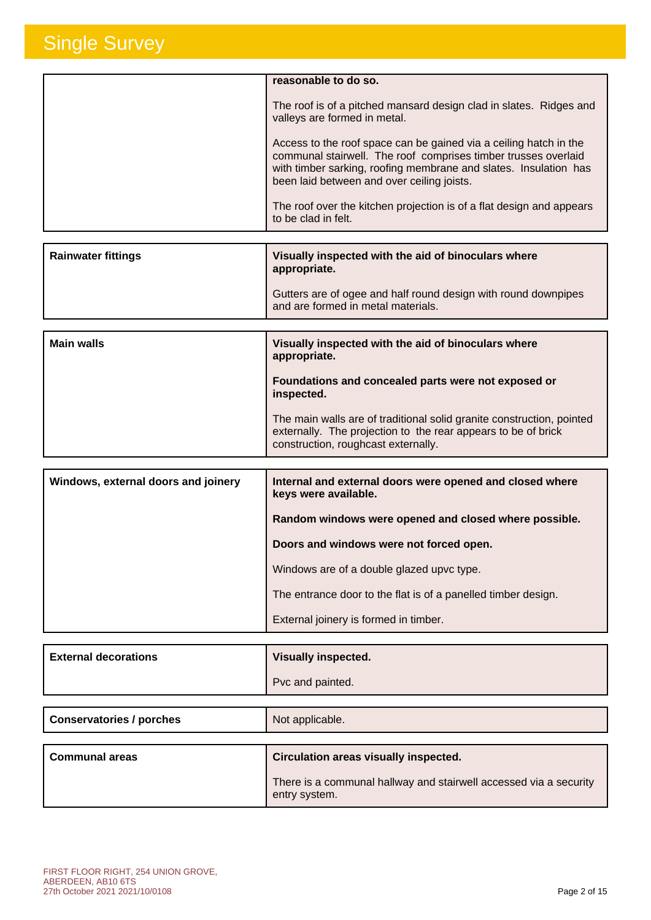| reasonable to do so.                                                                                                                                                                                                                                  |
|-------------------------------------------------------------------------------------------------------------------------------------------------------------------------------------------------------------------------------------------------------|
| The roof is of a pitched mansard design clad in slates. Ridges and<br>valleys are formed in metal.                                                                                                                                                    |
| Access to the roof space can be gained via a ceiling hatch in the<br>communal stairwell. The roof comprises timber trusses overlaid<br>with timber sarking, roofing membrane and slates. Insulation has<br>been laid between and over ceiling joists. |
| The roof over the kitchen projection is of a flat design and appears<br>to be clad in felt.                                                                                                                                                           |
|                                                                                                                                                                                                                                                       |

| <b>Main walls</b>         | Visually inspected with the aid of binoculars where                            |
|---------------------------|--------------------------------------------------------------------------------|
|                           | and are formed in metal materials.                                             |
|                           | appropriate.<br>Gutters are of ogee and half round design with round downpipes |
| <b>Rainwater fittings</b> | Visually inspected with the aid of binoculars where                            |

| TIVWAIIT IIIVWYYYYM TIINII NIIV MIM YI MIIIVYMIMIV TIIIVIV<br>appropriate.                                                                                                    |
|-------------------------------------------------------------------------------------------------------------------------------------------------------------------------------|
| Foundations and concealed parts were not exposed or<br>inspected.                                                                                                             |
| The main walls are of traditional solid granite construction, pointed<br>externally. The projection to the rear appears to be of brick<br>construction, roughcast externally. |

| Windows, external doors and joinery | Internal and external doors were opened and closed where<br>keys were available. |
|-------------------------------------|----------------------------------------------------------------------------------|
|                                     | Random windows were opened and closed where possible.                            |
|                                     | Doors and windows were not forced open.                                          |
|                                     | Windows are of a double glazed upvc type.                                        |
|                                     | The entrance door to the flat is of a panelled timber design.                    |
|                                     | External joinery is formed in timber.                                            |

| <b>External decorations</b> | <b>Visually inspected.</b> |
|-----------------------------|----------------------------|
|                             | Pvc and painted.           |

| <b>Conservatories / porches</b> | Not applicable.                                                                    |
|---------------------------------|------------------------------------------------------------------------------------|
|                                 |                                                                                    |
| <b>Communal areas</b>           | Circulation areas visually inspected.                                              |
|                                 | There is a communal hallway and stairwell accessed via a security<br>entry system. |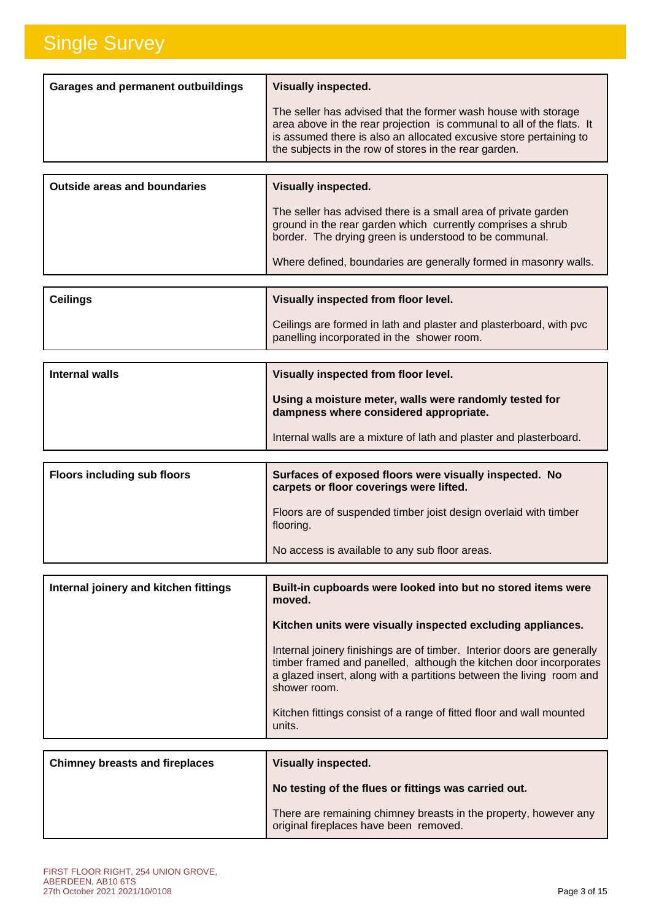| <b>Garages and permanent outbuildings</b> | <b>Visually inspected.</b>                                                                                                                                                                                                                                             |
|-------------------------------------------|------------------------------------------------------------------------------------------------------------------------------------------------------------------------------------------------------------------------------------------------------------------------|
|                                           | The seller has advised that the former wash house with storage<br>area above in the rear projection is communal to all of the flats. It<br>is assumed there is also an allocated excusive store pertaining to<br>the subjects in the row of stores in the rear garden. |
|                                           |                                                                                                                                                                                                                                                                        |
|                                           |                                                                                                                                                                                                                                                                        |

| <b>Outside areas and boundaries</b> | <b>Visually inspected.</b>                                                                                                                                                              |
|-------------------------------------|-----------------------------------------------------------------------------------------------------------------------------------------------------------------------------------------|
|                                     | The seller has advised there is a small area of private garden<br>ground in the rear garden which currently comprises a shrub<br>border. The drying green is understood to be communal. |
|                                     | Where defined, boundaries are generally formed in masonry walls.                                                                                                                        |
|                                     |                                                                                                                                                                                         |

| <b>Ceilings</b> | Visually inspected from floor level.                                                                             |
|-----------------|------------------------------------------------------------------------------------------------------------------|
|                 | Ceilings are formed in lath and plaster and plasterboard, with pvc<br>panelling incorporated in the shower room. |

| Internal walls | Visually inspected from floor level.                                                             |
|----------------|--------------------------------------------------------------------------------------------------|
|                | Using a moisture meter, walls were randomly tested for<br>dampness where considered appropriate. |
|                | Internal walls are a mixture of lath and plaster and plasterboard.                               |

| <b>Floors including sub floors</b> | Surfaces of exposed floors were visually inspected. No<br>carpets or floor coverings were lifted. |
|------------------------------------|---------------------------------------------------------------------------------------------------|
|                                    | Floors are of suspended timber joist design overlaid with timber<br>flooring.                     |
|                                    | No access is available to any sub floor areas.                                                    |

| Internal joinery and kitchen fittings | Built-in cupboards were looked into but no stored items were<br>moved.                                                                                                                                                                |
|---------------------------------------|---------------------------------------------------------------------------------------------------------------------------------------------------------------------------------------------------------------------------------------|
|                                       | Kitchen units were visually inspected excluding appliances.                                                                                                                                                                           |
|                                       | Internal joinery finishings are of timber. Interior doors are generally<br>timber framed and panelled, although the kitchen door incorporates<br>a glazed insert, along with a partitions between the living room and<br>shower room. |
|                                       | Kitchen fittings consist of a range of fitted floor and wall mounted<br>units.                                                                                                                                                        |
|                                       |                                                                                                                                                                                                                                       |
| <b>Chimney breasts and fireplaces</b> | <b>Visually inspected.</b>                                                                                                                                                                                                            |

| <b>Chimney breasts and fireplaces</b> | Visually inspected.                                                                                        |
|---------------------------------------|------------------------------------------------------------------------------------------------------------|
|                                       | No testing of the flues or fittings was carried out.                                                       |
|                                       | There are remaining chimney breasts in the property, however any<br>original fireplaces have been removed. |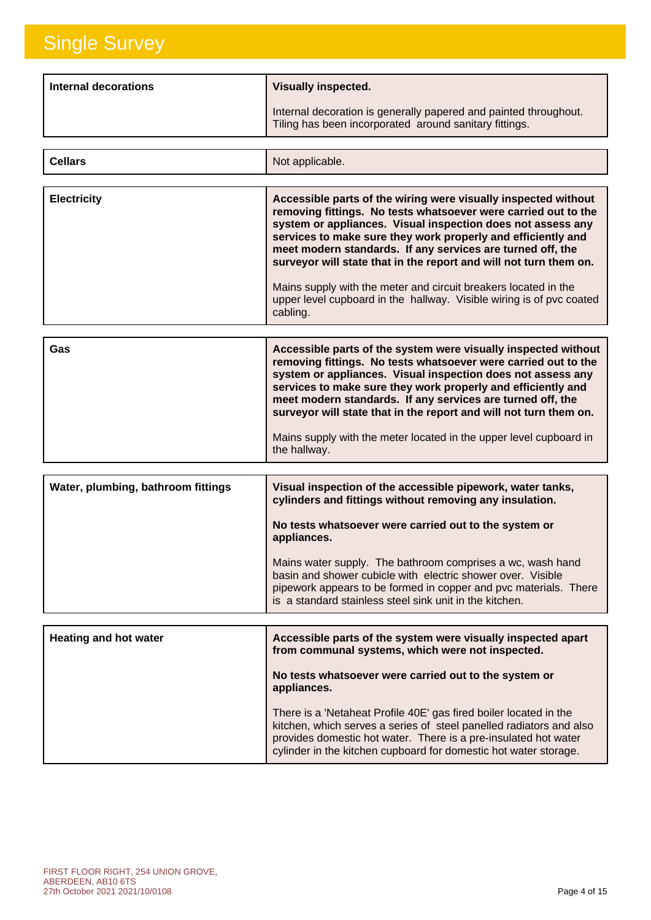**Cellars**

| Internal decorations | <b>Visually inspected.</b>                                                                                                 |
|----------------------|----------------------------------------------------------------------------------------------------------------------------|
|                      | Internal decoration is generally papered and painted throughout.<br>Tiling has been incorporated around sanitary fittings. |

Not applicable.

| <b>Electricity</b> | Accessible parts of the wiring were visually inspected without<br>removing fittings. No tests whatsoever were carried out to the<br>system or appliances. Visual inspection does not assess any<br>services to make sure they work properly and efficiently and<br>meet modern standards. If any services are turned off, the<br>surveyor will state that in the report and will not turn them on. |
|--------------------|----------------------------------------------------------------------------------------------------------------------------------------------------------------------------------------------------------------------------------------------------------------------------------------------------------------------------------------------------------------------------------------------------|
|                    | Mains supply with the meter and circuit breakers located in the<br>upper level cupboard in the hallway. Visible wiring is of pvc coated<br>cabling.                                                                                                                                                                                                                                                |

| the hallway. | Gas | Accessible parts of the system were visually inspected without<br>removing fittings. No tests whatsoever were carried out to the<br>system or appliances. Visual inspection does not assess any<br>services to make sure they work properly and efficiently and<br>meet modern standards. If any services are turned off, the<br>surveyor will state that in the report and will not turn them on.<br>Mains supply with the meter located in the upper level cupboard in |
|--------------|-----|--------------------------------------------------------------------------------------------------------------------------------------------------------------------------------------------------------------------------------------------------------------------------------------------------------------------------------------------------------------------------------------------------------------------------------------------------------------------------|
|--------------|-----|--------------------------------------------------------------------------------------------------------------------------------------------------------------------------------------------------------------------------------------------------------------------------------------------------------------------------------------------------------------------------------------------------------------------------------------------------------------------------|

| Water, plumbing, bathroom fittings | Visual inspection of the accessible pipework, water tanks,<br>cylinders and fittings without removing any insulation.                                                                                                                                    |
|------------------------------------|----------------------------------------------------------------------------------------------------------------------------------------------------------------------------------------------------------------------------------------------------------|
|                                    | No tests whatsoever were carried out to the system or<br>appliances.                                                                                                                                                                                     |
|                                    | Mains water supply. The bathroom comprises a wc, wash hand<br>basin and shower cubicle with electric shower over. Visible<br>pipework appears to be formed in copper and pvc materials. There<br>is a standard stainless steel sink unit in the kitchen. |

| <b>Heating and hot water</b> | Accessible parts of the system were visually inspected apart<br>from communal systems, which were not inspected.                                                                                                                                                                |
|------------------------------|---------------------------------------------------------------------------------------------------------------------------------------------------------------------------------------------------------------------------------------------------------------------------------|
|                              | No tests whatsoever were carried out to the system or<br>appliances.                                                                                                                                                                                                            |
|                              | There is a 'Netaheat Profile 40E' gas fired boiler located in the<br>kitchen, which serves a series of steel panelled radiators and also<br>provides domestic hot water. There is a pre-insulated hot water<br>cylinder in the kitchen cupboard for domestic hot water storage. |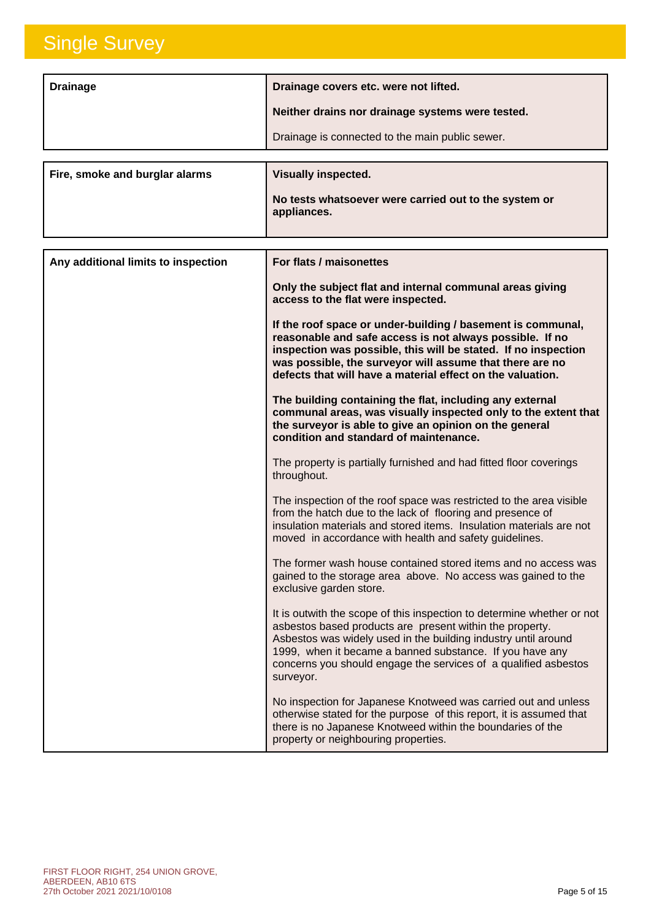| <b>Drainage</b>                | Drainage covers etc. were not lifted.                                |
|--------------------------------|----------------------------------------------------------------------|
|                                | Neither drains nor drainage systems were tested.                     |
|                                | Drainage is connected to the main public sewer.                      |
|                                |                                                                      |
| Fire, smoke and burglar alarms | <b>Visually inspected.</b>                                           |
|                                | No tests whatsoever were carried out to the system or<br>appliances. |

| Any additional limits to inspection | For flats / maisonettes                                                                                                                                                                                                                                                                                                                          |
|-------------------------------------|--------------------------------------------------------------------------------------------------------------------------------------------------------------------------------------------------------------------------------------------------------------------------------------------------------------------------------------------------|
|                                     | Only the subject flat and internal communal areas giving<br>access to the flat were inspected.                                                                                                                                                                                                                                                   |
|                                     | If the roof space or under-building / basement is communal,<br>reasonable and safe access is not always possible. If no<br>inspection was possible, this will be stated. If no inspection<br>was possible, the surveyor will assume that there are no<br>defects that will have a material effect on the valuation.                              |
|                                     | The building containing the flat, including any external<br>communal areas, was visually inspected only to the extent that<br>the surveyor is able to give an opinion on the general<br>condition and standard of maintenance.                                                                                                                   |
|                                     | The property is partially furnished and had fitted floor coverings<br>throughout.                                                                                                                                                                                                                                                                |
|                                     | The inspection of the roof space was restricted to the area visible<br>from the hatch due to the lack of flooring and presence of<br>insulation materials and stored items. Insulation materials are not<br>moved in accordance with health and safety guidelines.                                                                               |
|                                     | The former wash house contained stored items and no access was<br>gained to the storage area above. No access was gained to the<br>exclusive garden store.                                                                                                                                                                                       |
|                                     | It is outwith the scope of this inspection to determine whether or not<br>asbestos based products are present within the property.<br>Asbestos was widely used in the building industry until around<br>1999, when it became a banned substance. If you have any<br>concerns you should engage the services of a qualified asbestos<br>surveyor. |
|                                     | No inspection for Japanese Knotweed was carried out and unless<br>otherwise stated for the purpose of this report, it is assumed that<br>there is no Japanese Knotweed within the boundaries of the<br>property or neighbouring properties.                                                                                                      |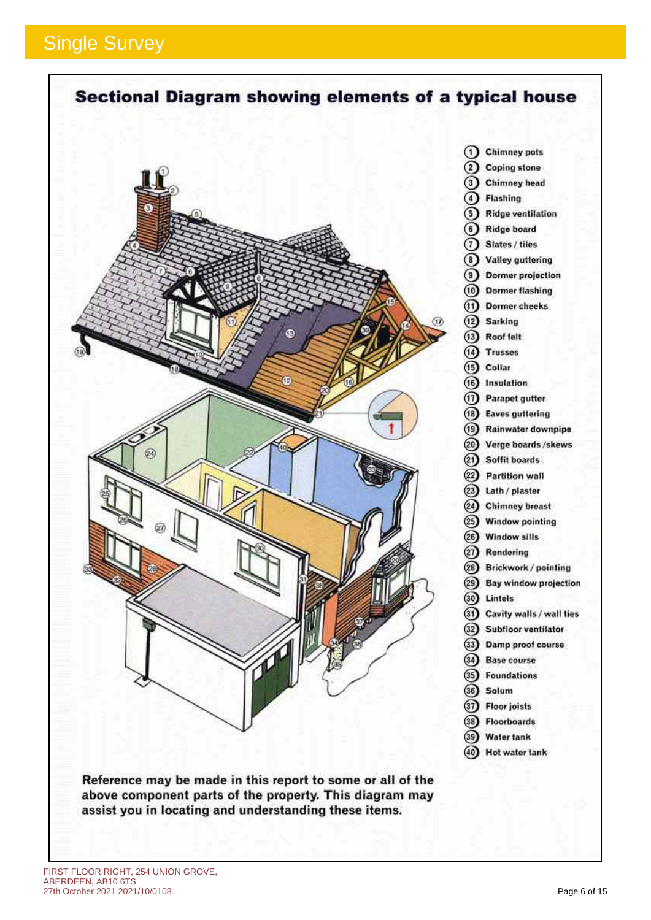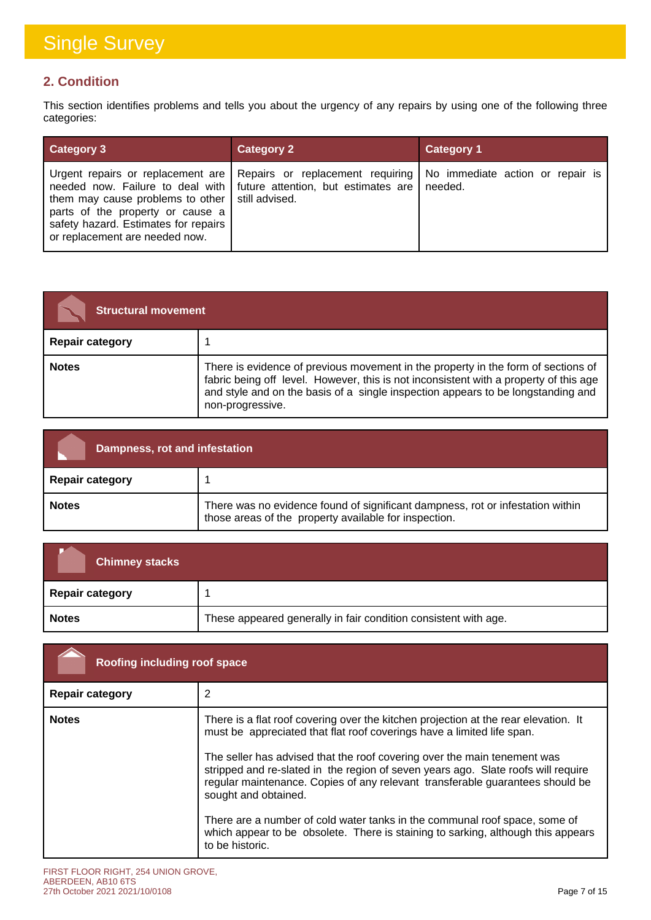### **2. Condition**

This section identifies problems and tells you about the urgency of any repairs by using one of the following three categories:

| <b>Category 3</b>                                                                                                                                                     | <b>Category 2</b>                                                                                                                                                                               | <b>Category 1</b> |
|-----------------------------------------------------------------------------------------------------------------------------------------------------------------------|-------------------------------------------------------------------------------------------------------------------------------------------------------------------------------------------------|-------------------|
| them may cause problems to other $\vert$ still advised.<br>parts of the property or cause a<br>safety hazard. Estimates for repairs<br>or replacement are needed now. | Urgent repairs or replacement are   Repairs or replacement requiring   No immediate action or repair is<br>needed now. Failure to deal with $\vert$ future attention, but estimates are $\vert$ | needed.           |

| <b>Structural movement</b> |                                                                                                                                                                                                                                                                                    |
|----------------------------|------------------------------------------------------------------------------------------------------------------------------------------------------------------------------------------------------------------------------------------------------------------------------------|
| <b>Repair category</b>     |                                                                                                                                                                                                                                                                                    |
| <b>Notes</b>               | There is evidence of previous movement in the property in the form of sections of<br>fabric being off level. However, this is not inconsistent with a property of this age<br>and style and on the basis of a single inspection appears to be longstanding and<br>non-progressive. |

| Dampness, rot and infestation |                                                                                                                                         |
|-------------------------------|-----------------------------------------------------------------------------------------------------------------------------------------|
| <b>Repair category</b>        |                                                                                                                                         |
| <b>Notes</b>                  | There was no evidence found of significant dampness, rot or infestation within<br>those areas of the property available for inspection. |

| <b>Chimney stacks</b>  |                                                                 |
|------------------------|-----------------------------------------------------------------|
| <b>Repair category</b> |                                                                 |
| <b>Notes</b>           | These appeared generally in fair condition consistent with age. |

| Roofing including roof space |                                                                                                                                                                                                                                                                                                                                                                                                                                                                                                                                                                                                                              |
|------------------------------|------------------------------------------------------------------------------------------------------------------------------------------------------------------------------------------------------------------------------------------------------------------------------------------------------------------------------------------------------------------------------------------------------------------------------------------------------------------------------------------------------------------------------------------------------------------------------------------------------------------------------|
| <b>Repair category</b>       |                                                                                                                                                                                                                                                                                                                                                                                                                                                                                                                                                                                                                              |
| <b>Notes</b>                 | There is a flat roof covering over the kitchen projection at the rear elevation. It<br>must be appreciated that flat roof coverings have a limited life span.<br>The seller has advised that the roof covering over the main tenement was<br>stripped and re-slated in the region of seven years ago. Slate roofs will require<br>regular maintenance. Copies of any relevant transferable guarantees should be<br>sought and obtained.<br>There are a number of cold water tanks in the communal roof space, some of<br>which appear to be obsolete. There is staining to sarking, although this appears<br>to be historic. |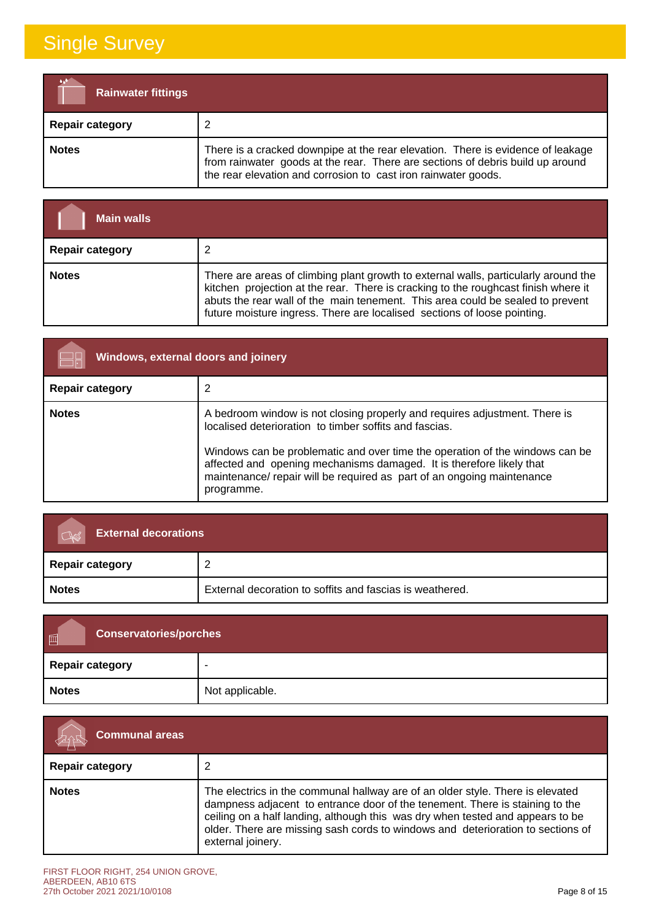| <b>Rainwater fittings</b> |                                                                                                                                                                                                                                     |
|---------------------------|-------------------------------------------------------------------------------------------------------------------------------------------------------------------------------------------------------------------------------------|
| <b>Repair category</b>    |                                                                                                                                                                                                                                     |
| <b>Notes</b>              | There is a cracked downpipe at the rear elevation. There is evidence of leakage<br>from rainwater goods at the rear. There are sections of debris build up around<br>the rear elevation and corrosion to cast iron rainwater goods. |

| <b>Main walls</b>      |                                                                                                                                                                                                                                                                                                                                         |
|------------------------|-----------------------------------------------------------------------------------------------------------------------------------------------------------------------------------------------------------------------------------------------------------------------------------------------------------------------------------------|
| <b>Repair category</b> |                                                                                                                                                                                                                                                                                                                                         |
| <b>Notes</b>           | There are areas of climbing plant growth to external walls, particularly around the<br>kitchen projection at the rear. There is cracking to the roughcast finish where it<br>abuts the rear wall of the main tenement. This area could be sealed to prevent<br>future moisture ingress. There are localised sections of loose pointing. |

| Windows, external doors and joinery |                                                                                                                                                                                                                                                                                                                                                                                      |
|-------------------------------------|--------------------------------------------------------------------------------------------------------------------------------------------------------------------------------------------------------------------------------------------------------------------------------------------------------------------------------------------------------------------------------------|
| <b>Repair category</b>              |                                                                                                                                                                                                                                                                                                                                                                                      |
| <b>Notes</b>                        | A bedroom window is not closing properly and requires adjustment. There is<br>localised deterioration to timber soffits and fascias.<br>Windows can be problematic and over time the operation of the windows can be<br>affected and opening mechanisms damaged. It is therefore likely that<br>maintenance/ repair will be required as part of an ongoing maintenance<br>programme. |

| <b>External decorations</b> |                                                          |
|-----------------------------|----------------------------------------------------------|
| Repair category             |                                                          |
| <b>Notes</b>                | External decoration to soffits and fascias is weathered. |

| 画<br><b>Conservatories/porches</b> |                 |
|------------------------------------|-----------------|
| Repair category                    | -               |
| <b>Notes</b>                       | Not applicable. |

| <b>Communal areas</b>  |                                                                                                                                                                                                                                                                                                                                                          |
|------------------------|----------------------------------------------------------------------------------------------------------------------------------------------------------------------------------------------------------------------------------------------------------------------------------------------------------------------------------------------------------|
| <b>Repair category</b> |                                                                                                                                                                                                                                                                                                                                                          |
| <b>Notes</b>           | The electrics in the communal hallway are of an older style. There is elevated<br>dampness adjacent to entrance door of the tenement. There is staining to the<br>ceiling on a half landing, although this was dry when tested and appears to be<br>older. There are missing sash cords to windows and deterioration to sections of<br>external joinery. |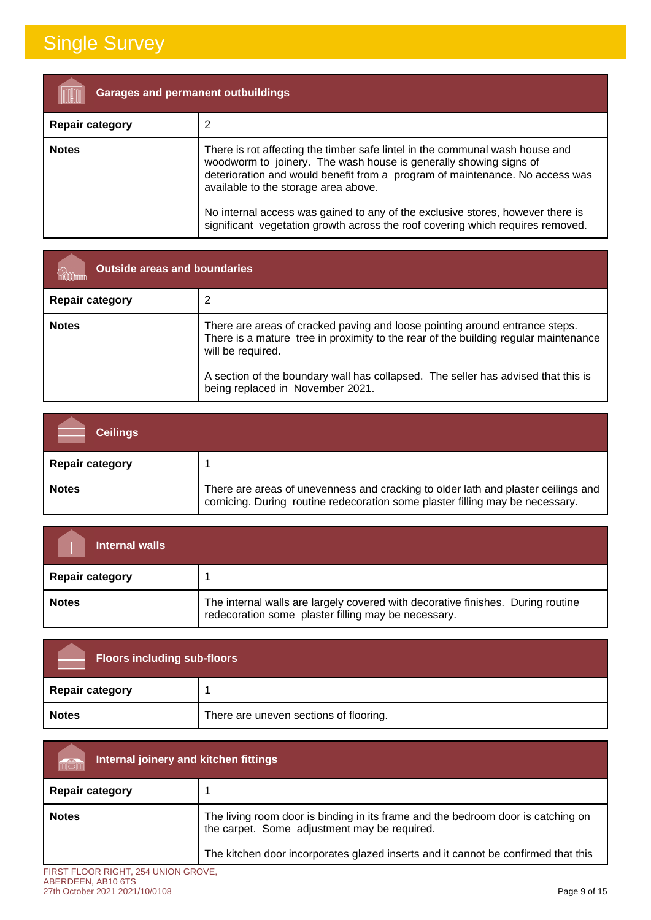| <b>Garages and permanent outbuildings</b> |                                                                                                                                                                                                                                                                                                                                                                                                                                               |
|-------------------------------------------|-----------------------------------------------------------------------------------------------------------------------------------------------------------------------------------------------------------------------------------------------------------------------------------------------------------------------------------------------------------------------------------------------------------------------------------------------|
| <b>Repair category</b>                    |                                                                                                                                                                                                                                                                                                                                                                                                                                               |
| <b>Notes</b>                              | There is rot affecting the timber safe lintel in the communal wash house and<br>woodworm to joinery. The wash house is generally showing signs of<br>deterioration and would benefit from a program of maintenance. No access was<br>available to the storage area above.<br>No internal access was gained to any of the exclusive stores, however there is<br>significant vegetation growth across the roof covering which requires removed. |

| <b>Outside areas and boundaries</b> |                                                                                                                                                                                                                                                                                                                  |
|-------------------------------------|------------------------------------------------------------------------------------------------------------------------------------------------------------------------------------------------------------------------------------------------------------------------------------------------------------------|
| <b>Repair category</b>              |                                                                                                                                                                                                                                                                                                                  |
| <b>Notes</b>                        | There are areas of cracked paving and loose pointing around entrance steps.<br>There is a mature tree in proximity to the rear of the building regular maintenance<br>will be required.<br>A section of the boundary wall has collapsed. The seller has advised that this is<br>being replaced in November 2021. |

| <b>Ceilings</b>        |                                                                                                                                                                    |
|------------------------|--------------------------------------------------------------------------------------------------------------------------------------------------------------------|
| <b>Repair category</b> |                                                                                                                                                                    |
| <b>Notes</b>           | There are areas of unevenness and cracking to older lath and plaster ceilings and<br>cornicing. During routine redecoration some plaster filling may be necessary. |

| Internal walls         |                                                                                                                                        |
|------------------------|----------------------------------------------------------------------------------------------------------------------------------------|
| <b>Repair category</b> |                                                                                                                                        |
| <b>Notes</b>           | The internal walls are largely covered with decorative finishes. During routine<br>redecoration some plaster filling may be necessary. |

| <b>Floors including sub-floors</b> |                                        |
|------------------------------------|----------------------------------------|
| <b>Repair category</b>             |                                        |
| <b>Notes</b>                       | There are uneven sections of flooring. |

| Internal joinery and kitchen fittings                     |                                                                                                                                  |
|-----------------------------------------------------------|----------------------------------------------------------------------------------------------------------------------------------|
| <b>Repair category</b>                                    |                                                                                                                                  |
| <b>Notes</b>                                              | The living room door is binding in its frame and the bedroom door is catching on<br>the carpet. Some adjustment may be required. |
|                                                           | The kitchen door incorporates glazed inserts and it cannot be confirmed that this                                                |
| FIRST FLOOR RIGHT, 254 UNION GROVE,<br>ABERDEEN, AB10 6TS |                                                                                                                                  |

### 27th October 2021 2021/10/0108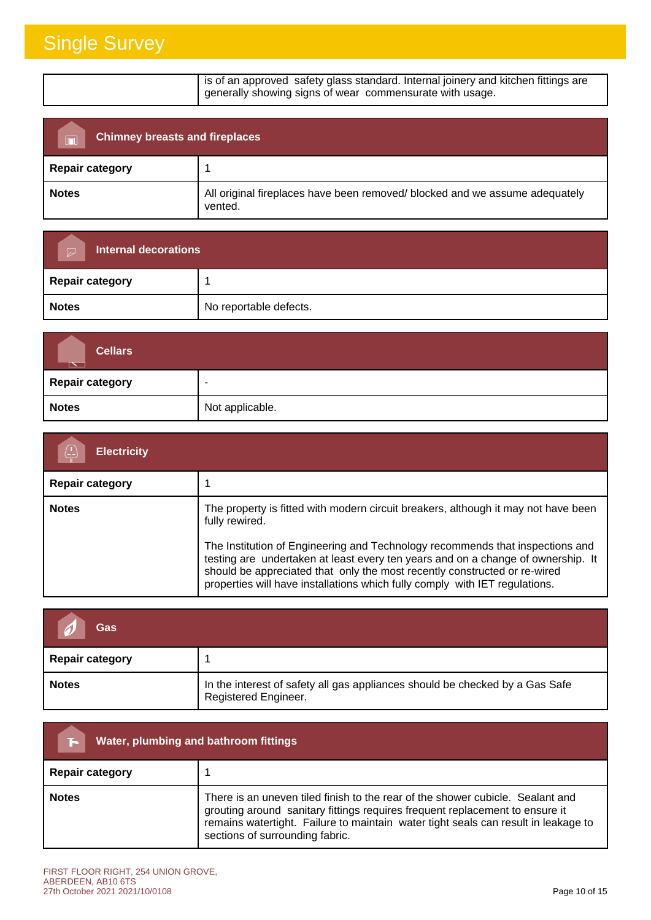| is of an approved safety glass standard. Internal joinery and kitchen fittings are |
|------------------------------------------------------------------------------------|
| generally showing signs of wear commensurate with usage.                           |
|                                                                                    |

| <b>Chimney breasts and fireplaces</b><br>$\overline{\mathbb{R}}$ |                                                                                        |
|------------------------------------------------------------------|----------------------------------------------------------------------------------------|
| <b>Repair category</b>                                           |                                                                                        |
| <b>Notes</b>                                                     | All original fireplaces have been removed/ blocked and we assume adequately<br>vented. |

| <b>Internal decorations</b><br>$\triangleright$ |                        |
|-------------------------------------------------|------------------------|
| Repair category                                 |                        |
| <b>Notes</b>                                    | No reportable defects. |

| <b>Cellars</b><br>$\overline{\mathbb{R}}$ |                 |
|-------------------------------------------|-----------------|
| Repair category                           | -               |
| <b>Notes</b>                              | Not applicable. |

| <b>Electricity</b>     |                                                                                                                                                                                                                                                                                                                                                                                                                                       |
|------------------------|---------------------------------------------------------------------------------------------------------------------------------------------------------------------------------------------------------------------------------------------------------------------------------------------------------------------------------------------------------------------------------------------------------------------------------------|
| <b>Repair category</b> |                                                                                                                                                                                                                                                                                                                                                                                                                                       |
| <b>Notes</b>           | The property is fitted with modern circuit breakers, although it may not have been<br>fully rewired.<br>The Institution of Engineering and Technology recommends that inspections and<br>testing are undertaken at least every ten years and on a change of ownership. It<br>should be appreciated that only the most recently constructed or re-wired<br>properties will have installations which fully comply with IET regulations. |

| Gas                    |                                                                                                      |
|------------------------|------------------------------------------------------------------------------------------------------|
| <b>Repair category</b> |                                                                                                      |
| <b>Notes</b>           | In the interest of safety all gas appliances should be checked by a Gas Safe<br>Registered Engineer. |

| Water, plumbing and bathroom fittings |                                                                                                                                                                                                                                                                                         |  |  |
|---------------------------------------|-----------------------------------------------------------------------------------------------------------------------------------------------------------------------------------------------------------------------------------------------------------------------------------------|--|--|
| <b>Repair category</b>                |                                                                                                                                                                                                                                                                                         |  |  |
| <b>Notes</b>                          | There is an uneven tiled finish to the rear of the shower cubicle. Sealant and<br>grouting around sanitary fittings requires frequent replacement to ensure it<br>remains watertight. Failure to maintain water tight seals can result in leakage to<br>sections of surrounding fabric. |  |  |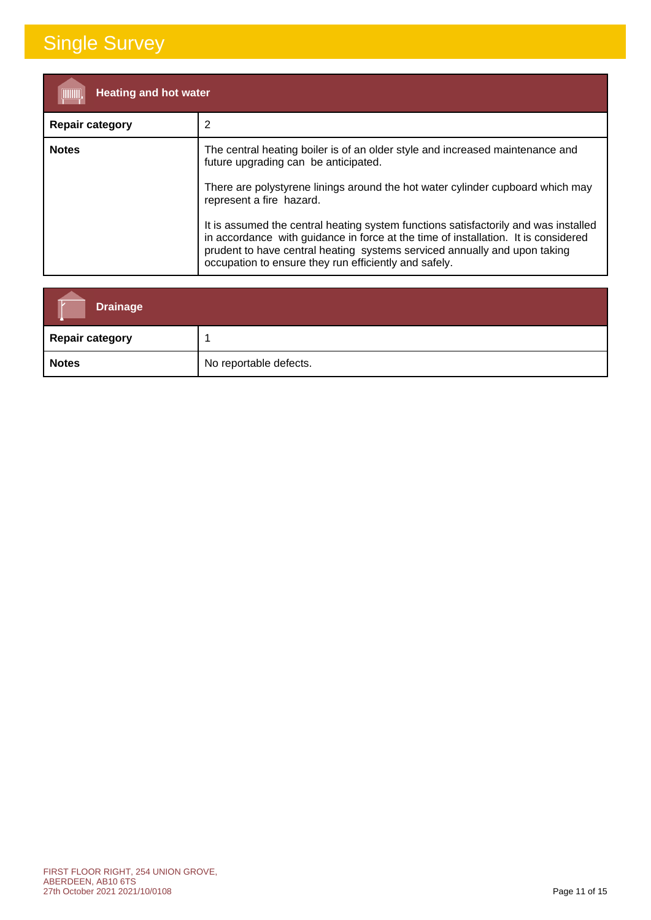| <b>Heating and hot water</b><br>(IIIIIIII) |                                                                                                                                                                                                                                                                                                                                                                                                                                                                                                                                                        |  |  |  |
|--------------------------------------------|--------------------------------------------------------------------------------------------------------------------------------------------------------------------------------------------------------------------------------------------------------------------------------------------------------------------------------------------------------------------------------------------------------------------------------------------------------------------------------------------------------------------------------------------------------|--|--|--|
| <b>Repair category</b>                     | 2                                                                                                                                                                                                                                                                                                                                                                                                                                                                                                                                                      |  |  |  |
| <b>Notes</b>                               | The central heating boiler is of an older style and increased maintenance and<br>future upgrading can be anticipated.<br>There are polystyrene linings around the hot water cylinder cupboard which may<br>represent a fire hazard.<br>It is assumed the central heating system functions satisfactorily and was installed<br>in accordance with guidance in force at the time of installation. It is considered<br>prudent to have central heating systems serviced annually and upon taking<br>occupation to ensure they run efficiently and safely. |  |  |  |

| <b>Drainage</b>        |                        |
|------------------------|------------------------|
| <b>Repair category</b> |                        |
| <b>Notes</b>           | No reportable defects. |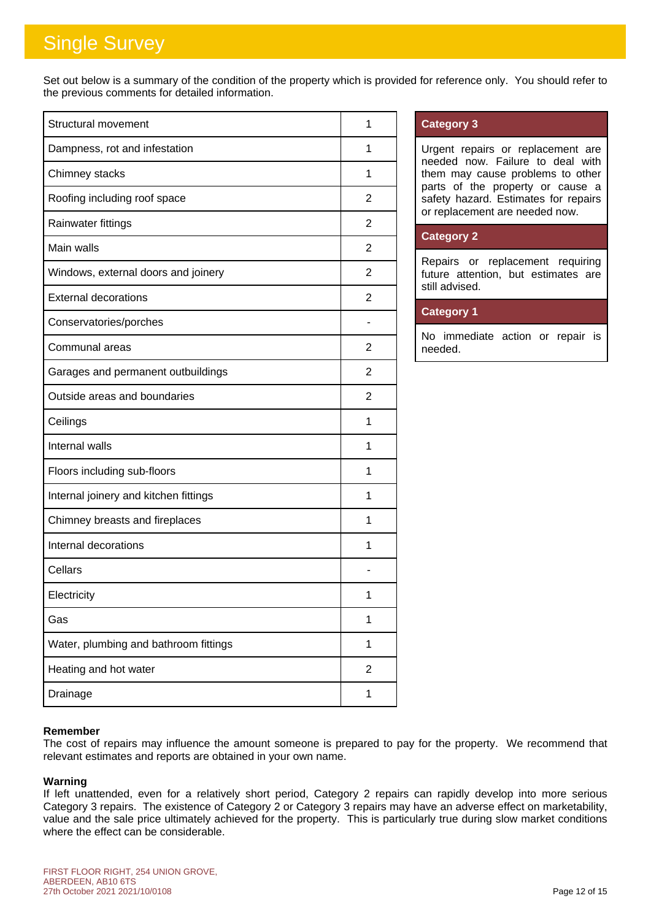Set out below is a summary of the condition of the property which is provided for reference only. You should refer to the previous comments for detailed information.

| <b>Structural movement</b>            | 1              |
|---------------------------------------|----------------|
| Dampness, rot and infestation         | 1              |
| Chimney stacks                        | 1              |
| Roofing including roof space          | 2              |
| Rainwater fittings                    | $\overline{2}$ |
| Main walls                            | 2              |
| Windows, external doors and joinery   | $\overline{2}$ |
| <b>External decorations</b>           | 2              |
| Conservatories/porches                |                |
| Communal areas                        | 2              |
| Garages and permanent outbuildings    | 2              |
| Outside areas and boundaries          | $\overline{2}$ |
| Ceilings                              | 1              |
| Internal walls                        | 1              |
| Floors including sub-floors           | 1              |
| Internal joinery and kitchen fittings | 1              |
| Chimney breasts and fireplaces        | 1              |
| Internal decorations                  | 1              |
| Cellars                               |                |
| Electricity                           | 1              |
| Gas                                   | 1              |
| Water, plumbing and bathroom fittings | 1              |
| Heating and hot water                 | 2              |
| Drainage                              | 1              |

### **Category 3**

Urgent repairs or replacement are needed now. Failure to deal with them may cause problems to other parts of the property or cause a safety hazard. Estimates for repairs or replacement are needed now.

### **Category 2**

Repairs or replacement requiring future attention, but estimates are still advised.

### **Category 1**

No immediate action or repair is needed.

### **Remember**

The cost of repairs may influence the amount someone is prepared to pay for the property. We recommend that relevant estimates and reports are obtained in your own name.

#### **Warning**

If left unattended, even for a relatively short period, Category 2 repairs can rapidly develop into more serious Category 3 repairs. The existence of Category 2 or Category 3 repairs may have an adverse effect on marketability, value and the sale price ultimately achieved for the property. This is particularly true during slow market conditions where the effect can be considerable.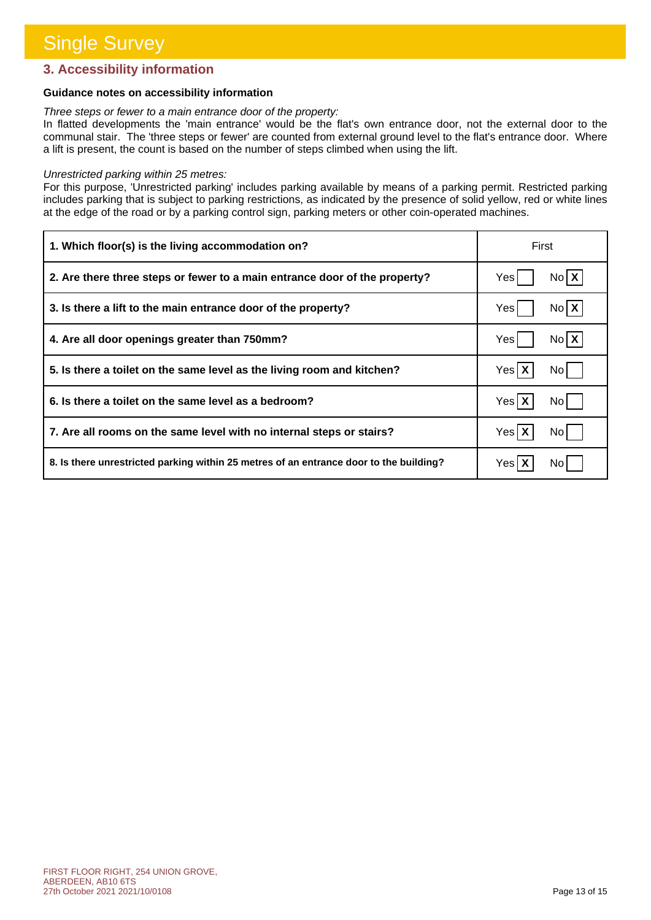### **3. Accessibility information**

### **Guidance notes on accessibility information**

#### *Three steps or fewer to a main entrance door of the property:*

In flatted developments the 'main entrance' would be the flat's own entrance door, not the external door to the communal stair. The 'three steps or fewer' are counted from external ground level to the flat's entrance door. Where a lift is present, the count is based on the number of steps climbed when using the lift.

#### *Unrestricted parking within 25 metres:*

For this purpose, 'Unrestricted parking' includes parking available by means of a parking permit. Restricted parking includes parking that is subject to parking restrictions, as indicated by the presence of solid yellow, red or white lines at the edge of the road or by a parking control sign, parking meters or other coin-operated machines.

| 1. Which floor(s) is the living accommodation on?                                      | First              |  |
|----------------------------------------------------------------------------------------|--------------------|--|
| 2. Are there three steps or fewer to a main entrance door of the property?             | No <b>X</b><br>Yes |  |
| 3. Is there a lift to the main entrance door of the property?                          | $N_0$ $X$<br>Yes   |  |
| 4. Are all door openings greater than 750mm?                                           | No <b>X</b><br>Yes |  |
| 5. Is there a toilet on the same level as the living room and kitchen?                 | Yes X<br>No l      |  |
| 6. Is there a toilet on the same level as a bedroom?                                   | Yes X<br>No l      |  |
| 7. Are all rooms on the same level with no internal steps or stairs?                   | Yes X<br>No l      |  |
| 8. Is there unrestricted parking within 25 metres of an entrance door to the building? | Yes   )<br>No l    |  |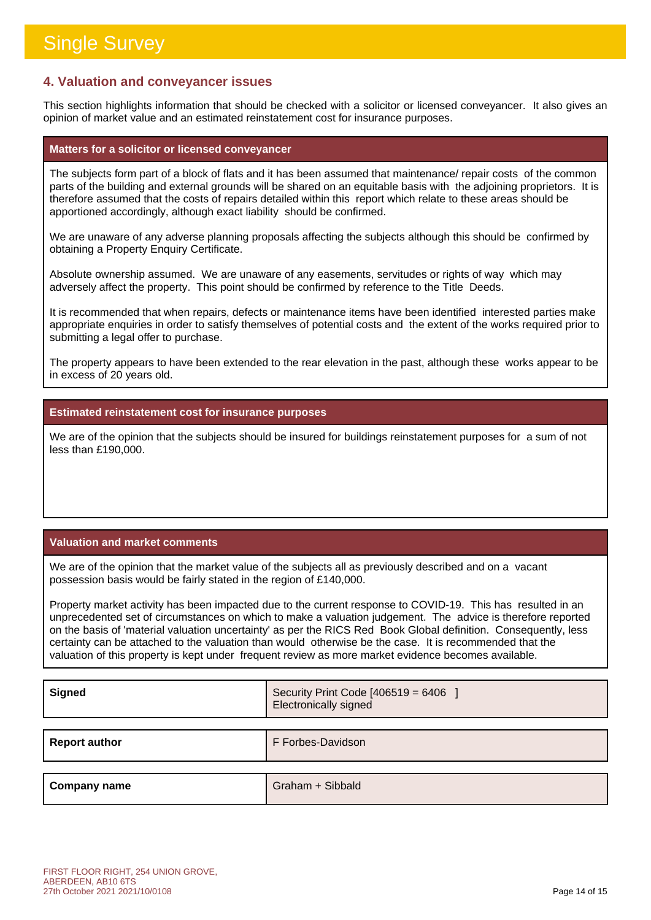### **4. Valuation and conveyancer issues**

This section highlights information that should be checked with a solicitor or licensed conveyancer. It also gives an opinion of market value and an estimated reinstatement cost for insurance purposes.

### **Matters for a solicitor or licensed conveyancer**

The subjects form part of a block of flats and it has been assumed that maintenance/ repair costs of the common parts of the building and external grounds will be shared on an equitable basis with the adjoining proprietors. It is therefore assumed that the costs of repairs detailed within this report which relate to these areas should be apportioned accordingly, although exact liability should be confirmed.

We are unaware of any adverse planning proposals affecting the subjects although this should be confirmed by obtaining a Property Enquiry Certificate.

Absolute ownership assumed. We are unaware of any easements, servitudes or rights of way which may adversely affect the property. This point should be confirmed by reference to the Title Deeds.

It is recommended that when repairs, defects or maintenance items have been identified interested parties make appropriate enquiries in order to satisfy themselves of potential costs and the extent of the works required prior to submitting a legal offer to purchase.

The property appears to have been extended to the rear elevation in the past, although these works appear to be in excess of 20 years old.

#### **Estimated reinstatement cost for insurance purposes**

We are of the opinion that the subjects should be insured for buildings reinstatement purposes for a sum of not less than £190,000.

### **Valuation and market comments**

We are of the opinion that the market value of the subjects all as previously described and on a vacant possession basis would be fairly stated in the region of £140,000.

Property market activity has been impacted due to the current response to COVID-19. This has resulted in an unprecedented set of circumstances on which to make a valuation judgement. The advice is therefore reported on the basis of 'material valuation uncertainty' as per the RICS Red Book Global definition. Consequently, less certainty can be attached to the valuation than would otherwise be the case. It is recommended that the valuation of this property is kept under frequent review as more market evidence becomes available.

| Security Print Code [406519 = 6406 ]<br><b>Electronically signed</b> |
|----------------------------------------------------------------------|
| F Forbes-Davidson                                                    |
| Graham + Sibbald                                                     |
|                                                                      |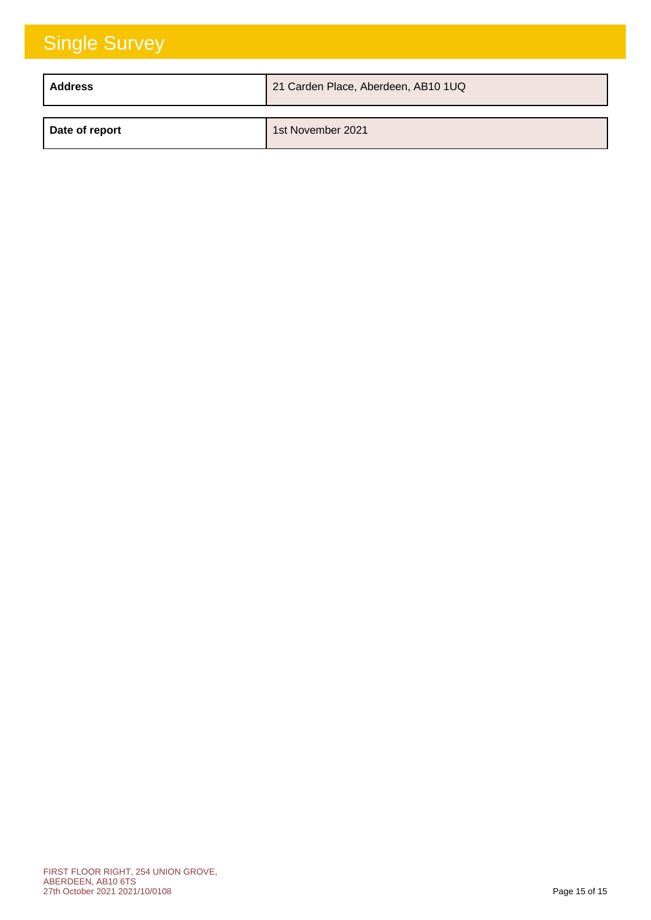| <b>Address</b> | 21 Carden Place, Aberdeen, AB10 1UQ |
|----------------|-------------------------------------|
| Date of report | 1st November 2021                   |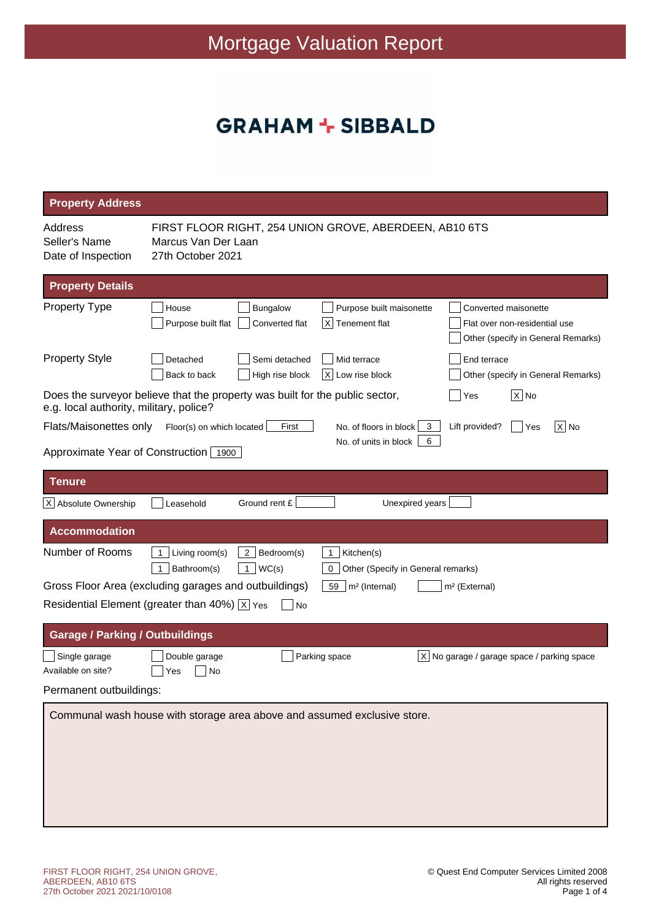### **GRAHAM + SIBBALD**

| <b>Property Address</b>                                        |                                                                                                                                                                                                            |
|----------------------------------------------------------------|------------------------------------------------------------------------------------------------------------------------------------------------------------------------------------------------------------|
| Address<br>Seller's Name<br>Date of Inspection                 | FIRST FLOOR RIGHT, 254 UNION GROVE, ABERDEEN, AB10 6TS<br>Marcus Van Der Laan<br>27th October 2021                                                                                                         |
| <b>Property Details</b>                                        |                                                                                                                                                                                                            |
| <b>Property Type</b>                                           | Bungalow<br>Purpose built maisonette<br>House<br>Converted maisonette<br>Purpose built flat<br>Converted flat<br>X<br>Tenement flat<br>Flat over non-residential use<br>Other (specify in General Remarks) |
| <b>Property Style</b>                                          | Semi detached<br>Mid terrace<br>End terrace<br>Detached<br>High rise block<br>Low rise block<br>Back to back<br> X <br>Other (specify in General Remarks)                                                  |
| e.g. local authority, military, police?                        | $\overline{X}$ No<br>Does the surveyor believe that the property was built for the public sector,<br>Yes                                                                                                   |
| Flats/Maisonettes only                                         | Floor(s) on which located<br>First<br>No. of floors in block<br>Lift provided?<br>X No<br>3<br>Yes<br>No. of units in block<br>6                                                                           |
| Approximate Year of Construction 1900                          |                                                                                                                                                                                                            |
| Tenure                                                         |                                                                                                                                                                                                            |
| X Absolute Ownership                                           | Ground rent £<br>Unexpired years<br>Leasehold                                                                                                                                                              |
| <b>Accommodation</b>                                           |                                                                                                                                                                                                            |
| Number of Rooms                                                | $2$   Bedroom(s)<br>Kitchen(s)<br>$\mathbf 1$<br>Living room(s)<br>$\mathbf{1}$<br>Bathroom(s)<br>1 $ WC(s) $<br>Other (Specify in General remarks)<br>$\mathbf{1}$<br>0                                   |
|                                                                | Gross Floor Area (excluding garages and outbuildings)<br>59<br>m <sup>2</sup> (Internal)<br>m <sup>2</sup> (External)                                                                                      |
|                                                                | Residential Element (greater than 40%) $\overline{X}$ Yes<br>No                                                                                                                                            |
| <b>Garage / Parking / Outbuildings</b>                         |                                                                                                                                                                                                            |
| Single garage<br>Available on site?<br>Permanent outbuildings: | $ X $ No garage / garage space / parking space<br>Double garage<br>Parking space<br>Yes<br>No                                                                                                              |
|                                                                | Communal wash house with storage area above and assumed exclusive store.                                                                                                                                   |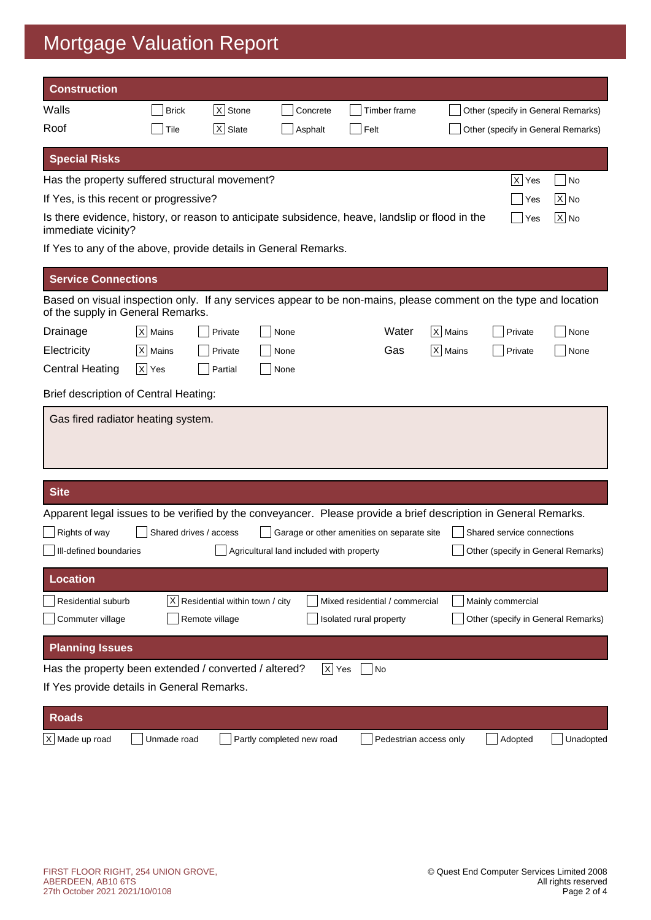# Mortgage Valuation Report

| <b>Construction</b>                                                                                                                                   |                    |                                |                                          |                                            |           |                                    |               |
|-------------------------------------------------------------------------------------------------------------------------------------------------------|--------------------|--------------------------------|------------------------------------------|--------------------------------------------|-----------|------------------------------------|---------------|
| Walls                                                                                                                                                 | <b>Brick</b>       | $ X $ Stone                    | Concrete                                 | Timber frame                               |           | Other (specify in General Remarks) |               |
| Roof                                                                                                                                                  | Tile               | $ X $ Slate                    | Asphalt                                  | Felt                                       |           | Other (specify in General Remarks) |               |
| <b>Special Risks</b>                                                                                                                                  |                    |                                |                                          |                                            |           |                                    |               |
| Has the property suffered structural movement?                                                                                                        |                    |                                |                                          |                                            |           | $ X $ Yes                          | No            |
| If Yes, is this recent or progressive?                                                                                                                |                    |                                |                                          |                                            |           | Yes                                | $ X $ No      |
| Is there evidence, history, or reason to anticipate subsidence, heave, landslip or flood in the<br>immediate vicinity?                                |                    |                                |                                          |                                            |           | Yes                                | $\sqrt{X}$ No |
| If Yes to any of the above, provide details in General Remarks.                                                                                       |                    |                                |                                          |                                            |           |                                    |               |
| <b>Service Connections</b>                                                                                                                            |                    |                                |                                          |                                            |           |                                    |               |
| Based on visual inspection only. If any services appear to be non-mains, please comment on the type and location<br>of the supply in General Remarks. |                    |                                |                                          |                                            |           |                                    |               |
| Drainage                                                                                                                                              | $ X $ Mains        | Private                        | None                                     | Water                                      | X   Mains | Private                            | None          |
| Electricity                                                                                                                                           | $ X $ Mains        | Private                        | None                                     | Gas                                        | $X$ Mains | Private                            | None          |
| <b>Central Heating</b>                                                                                                                                | $\overline{X}$ Yes | Partial                        | None                                     |                                            |           |                                    |               |
| Brief description of Central Heating:                                                                                                                 |                    |                                |                                          |                                            |           |                                    |               |
| Gas fired radiator heating system.                                                                                                                    |                    |                                |                                          |                                            |           |                                    |               |
|                                                                                                                                                       |                    |                                |                                          |                                            |           |                                    |               |
| <b>Site</b>                                                                                                                                           |                    |                                |                                          |                                            |           |                                    |               |
| Apparent legal issues to be verified by the conveyancer. Please provide a brief description in General Remarks.                                       |                    |                                |                                          |                                            |           |                                    |               |
| Rights of way<br>    III-defined boundaries                                                                                                           |                    | Shared drives / access         | Agricultural land included with property | Garage or other amenities on separate site |           | Shared service connections         |               |
|                                                                                                                                                       |                    |                                |                                          |                                            |           | Other (specify in General Remarks) |               |
| <b>Location</b>                                                                                                                                       |                    |                                |                                          |                                            |           |                                    |               |
| Residential suburb                                                                                                                                    | ΧI                 | Residential within town / city |                                          | Mixed residential / commercial             |           | Mainly commercial                  |               |
| Commuter village                                                                                                                                      |                    | Remote village                 |                                          | Isolated rural property                    |           | Other (specify in General Remarks) |               |
| <b>Planning Issues</b>                                                                                                                                |                    |                                |                                          |                                            |           |                                    |               |
| Has the property been extended / converted / altered?                                                                                                 |                    |                                |                                          | $X$ Yes<br>No                              |           |                                    |               |
| If Yes provide details in General Remarks.                                                                                                            |                    |                                |                                          |                                            |           |                                    |               |
| <b>Roads</b>                                                                                                                                          |                    |                                |                                          |                                            |           |                                    |               |
| X Made up road                                                                                                                                        | Unmade road        |                                | Partly completed new road                | Pedestrian access only                     |           | Adopted                            | Unadopted     |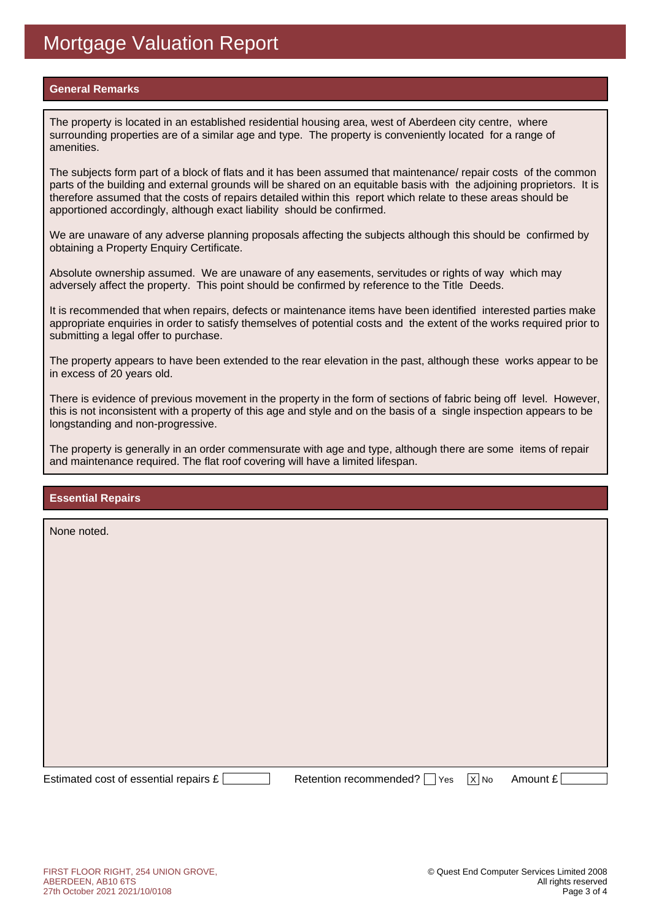### **General Remarks**

The property is located in an established residential housing area, west of Aberdeen city centre, where surrounding properties are of a similar age and type. The property is conveniently located for a range of amenities.

The subjects form part of a block of flats and it has been assumed that maintenance/ repair costs of the common parts of the building and external grounds will be shared on an equitable basis with the adjoining proprietors. It is therefore assumed that the costs of repairs detailed within this report which relate to these areas should be apportioned accordingly, although exact liability should be confirmed.

We are unaware of any adverse planning proposals affecting the subjects although this should be confirmed by obtaining a Property Enquiry Certificate.

Absolute ownership assumed. We are unaware of any easements, servitudes or rights of way which may adversely affect the property. This point should be confirmed by reference to the Title Deeds.

It is recommended that when repairs, defects or maintenance items have been identified interested parties make appropriate enquiries in order to satisfy themselves of potential costs and the extent of the works required prior to submitting a legal offer to purchase.

The property appears to have been extended to the rear elevation in the past, although these works appear to be in excess of 20 years old.

There is evidence of previous movement in the property in the form of sections of fabric being off level. However, this is not inconsistent with a property of this age and style and on the basis of a single inspection appears to be longstanding and non-progressive.

The property is generally in an order commensurate with age and type, although there are some items of repair and maintenance required. The flat roof covering will have a limited lifespan.

### **Essential Repairs**

None noted.

Estimated cost of essential repairs  $E$  Retention recommended?  $\Box$  Yes  $\overline{X}$  No Amount £